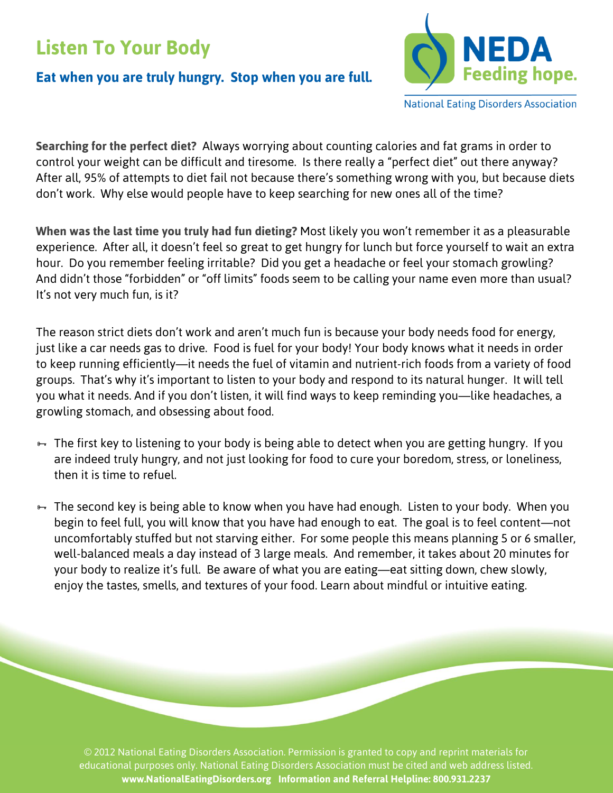## **Listen To Your Body**

## **Eat when you are truly hungry. Stop when you are full.**



**National Eating Disorders Association** 

**Searching for the perfect diet?** Always worrying about counting calories and fat grams in order to control your weight can be difficult and tiresome. Is there really a "perfect diet" out there anyway? After all, 95% of attempts to diet fail not because there's something wrong with you, but because diets don't work. Why else would people have to keep searching for new ones all of the time?

**When was the last time you truly had fun dieting?** Most likely you won't remember it as a pleasurable experience. After all, it doesn't feel so great to get hungry for lunch but force yourself to wait an extra hour. Do you remember feeling irritable? Did you get a headache or feel your stomach growling? And didn't those "forbidden" or "off limits" foods seem to be calling your name even more than usual? It's not very much fun, is it?

The reason strict diets don't work and aren't much fun is because your body needs food for energy, just like a car needs gas to drive. Food is fuel for your body! Your body knows what it needs in order to keep running efficiently—it needs the fuel of vitamin and nutrient-rich foods from a variety of food groups. That's why it's important to listen to your body and respond to its natural hunger. It will tell you what it needs. And if you don't listen, it will find ways to keep reminding you—like headaches, a growling stomach, and obsessing about food.

- $\overline{a}$ . The first key to listening to your body is being able to detect when you are getting hungry. If you are indeed truly hungry, and not just looking for food to cure your boredom, stress, or loneliness, then it is time to refuel.
- <del>■</del> The second key is being able to know when you have had enough. Listen to your body. When you begin to feel full, you will know that you have had enough to eat. The goal is to feel content—not uncomfortably stuffed but not starving either. For some people this means planning 5 or 6 smaller, well-balanced meals a day instead of 3 large meals. And remember, it takes about 20 minutes for your body to realize it's full. Be aware of what you are eating—eat sitting down, chew slowly, enjoy the tastes, smells, and textures of your food. Learn about mindful or intuitive eating.

© 2012 National Eating Disorders Association. Permission is granted to copy and reprint materials for educational purposes only. National Eating Disorders Association must be cited and web address listed. **www.NationalEatingDisorders.org Information and Referral Helpline: 800.931.2237**